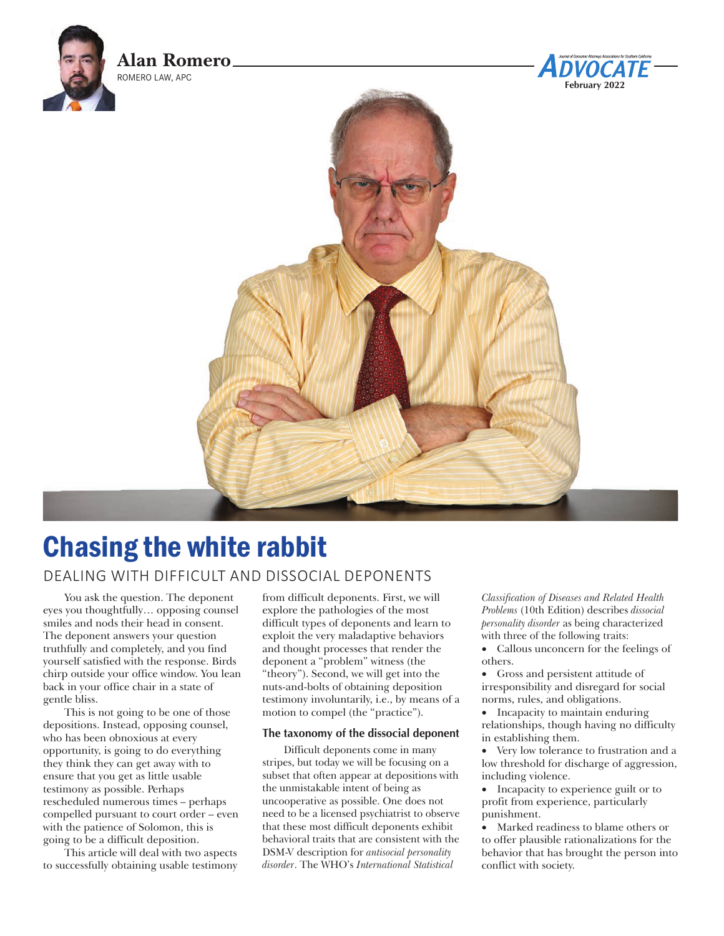

# Chasing the white rabbit

## DEALING WITH DIFFICULT AND DISSOCIAL DEPONENTS

You ask the question. The deponent eyes you thoughtfully… opposing counsel smiles and nods their head in consent. The deponent answers your question truthfully and completely, and you find yourself satisfied with the response. Birds chirp outside your office window. You lean back in your office chair in a state of gentle bliss.

This is not going to be one of those depositions. Instead, opposing counsel, who has been obnoxious at every opportunity, is going to do everything they think they can get away with to ensure that you get as little usable testimony as possible. Perhaps rescheduled numerous times – perhaps compelled pursuant to court order – even with the patience of Solomon, this is going to be a difficult deposition.

This article will deal with two aspects to successfully obtaining usable testimony from difficult deponents. First, we will explore the pathologies of the most difficult types of deponents and learn to exploit the very maladaptive behaviors and thought processes that render the deponent a "problem" witness (the "theory"). Second, we will get into the nuts-and-bolts of obtaining deposition testimony involuntarily, i.e., by means of a motion to compel (the "practice").

#### **The taxonomy of the dissocial deponent**

Difficult deponents come in many stripes, but today we will be focusing on a subset that often appear at depositions with the unmistakable intent of being as uncooperative as possible. One does not need to be a licensed psychiatrist to observe that these most difficult deponents exhibit behavioral traits that are consistent with the DSM-V description for *antisocial personality disorder*. The WHO's *International Statistical* 

*Classification of Diseases and Related Health Problems* (10th Edition) describes *dissocial personality disorder* as being characterized with three of the following traits:

- • Callous unconcern for the feelings of others.
- • Gross and persistent attitude of irresponsibility and disregard for social norms, rules, and obligations.
- • Incapacity to maintain enduring relationships, though having no difficulty in establishing them.
- • Very low tolerance to frustration and a low threshold for discharge of aggression, including violence.
- Incapacity to experience guilt or to profit from experience, particularly punishment.
- • Marked readiness to blame others or to offer plausible rationalizations for the behavior that has brought the person into conflict with society.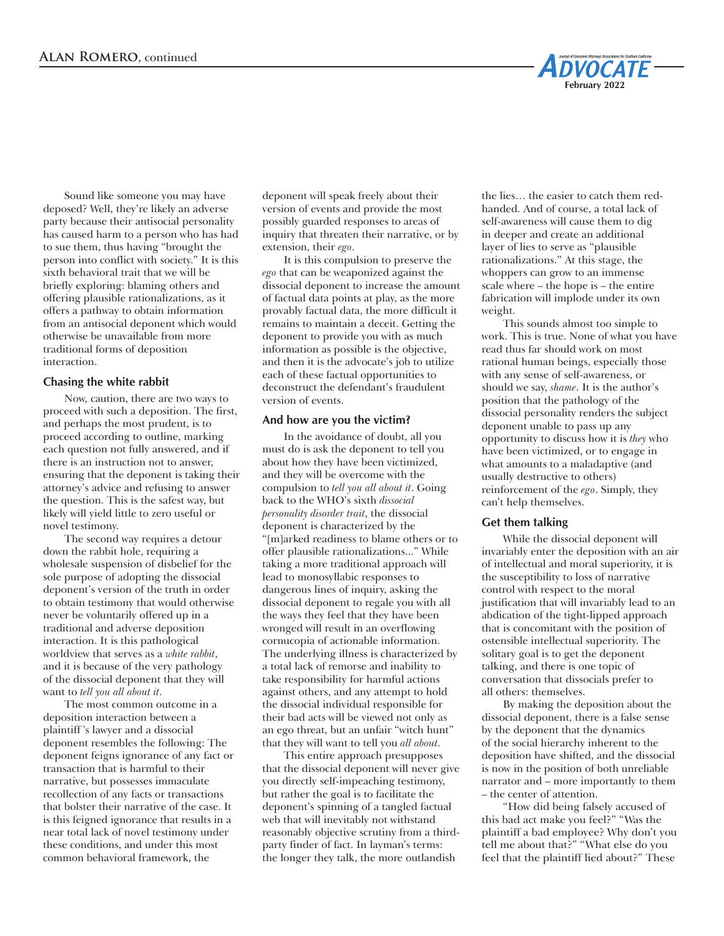Sound like someone you may have deposed? Well, they're likely an adverse party because their antisocial personality has caused harm to a person who has had to sue them, thus having "brought the person into conflict with society." It is this sixth behavioral trait that we will be briefly exploring: blaming others and offering plausible rationalizations, as it offers a pathway to obtain information from an antisocial deponent which would otherwise be unavailable from more traditional forms of deposition interaction.

#### **Chasing the white rabbit**

Now, caution, there are two ways to proceed with such a deposition. The first, and perhaps the most prudent, is to proceed according to outline, marking each question not fully answered, and if there is an instruction not to answer, ensuring that the deponent is taking their attorney's advice and refusing to answer the question. This is the safest way, but likely will yield little to zero useful or novel testimony.

The second way requires a detour down the rabbit hole, requiring a wholesale suspension of disbelief for the sole purpose of adopting the dissocial deponent's version of the truth in order to obtain testimony that would otherwise never be voluntarily offered up in a traditional and adverse deposition interaction. It is this pathological worldview that serves as a *white rabbit*, and it is because of the very pathology of the dissocial deponent that they will want to *tell you all about it*.

The most common outcome in a deposition interaction between a plaintiff 's lawyer and a dissocial deponent resembles the following: The deponent feigns ignorance of any fact or transaction that is harmful to their narrative, but possesses immaculate recollection of any facts or transactions that bolster their narrative of the case. It is this feigned ignorance that results in a near total lack of novel testimony under these conditions, and under this most common behavioral framework, the

deponent will speak freely about their version of events and provide the most possibly guarded responses to areas of inquiry that threaten their narrative, or by extension, their *ego*.

It is this compulsion to preserve the *ego* that can be weaponized against the dissocial deponent to increase the amount of factual data points at play, as the more provably factual data, the more difficult it remains to maintain a deceit. Getting the deponent to provide you with as much information as possible is the objective, and then it is the advocate's job to utilize each of these factual opportunities to deconstruct the defendant's fraudulent version of events.

#### **And how are you the victim?**

In the avoidance of doubt, all you must do is ask the deponent to tell you about how they have been victimized, and they will be overcome with the compulsion to *tell you all about it*. Going back to the WHO's sixth *dissocial personality disorder trait*, the dissocial deponent is characterized by the "[m]arked readiness to blame others or to offer plausible rationalizations..." While taking a more traditional approach will lead to monosyllabic responses to dangerous lines of inquiry, asking the dissocial deponent to regale you with all the ways they feel that they have been wronged will result in an overflowing cornucopia of actionable information. The underlying illness is characterized by a total lack of remorse and inability to take responsibility for harmful actions against others, and any attempt to hold the dissocial individual responsible for their bad acts will be viewed not only as an ego threat, but an unfair "witch hunt" that they will want to tell you *all about*.

This entire approach presupposes that the dissocial deponent will never give you directly self-impeaching testimony, but rather the goal is to facilitate the deponent's spinning of a tangled factual web that will inevitably not withstand reasonably objective scrutiny from a thirdparty finder of fact. In layman's terms: the longer they talk, the more outlandish

the lies… the easier to catch them redhanded. And of course, a total lack of self-awareness will cause them to dig in deeper and create an additional layer of lies to serve as "plausible rationalizations." At this stage, the whoppers can grow to an immense scale where – the hope is – the entire fabrication will implode under its own weight.

**February 2022**

This sounds almost too simple to work. This is true. None of what you have read thus far should work on most rational human beings, especially those with any sense of self-awareness, or should we say, *shame*. It is the author's position that the pathology of the dissocial personality renders the subject deponent unable to pass up any opportunity to discuss how it is *they* who have been victimized, or to engage in what amounts to a maladaptive (and usually destructive to others) reinforcement of the *ego*. Simply, they can't help themselves.

#### **Get them talking**

While the dissocial deponent will invariably enter the deposition with an air of intellectual and moral superiority, it is the susceptibility to loss of narrative control with respect to the moral justification that will invariably lead to an abdication of the tight-lipped approach that is concomitant with the position of ostensible intellectual superiority. The solitary goal is to get the deponent talking, and there is one topic of conversation that dissocials prefer to all others: themselves.

By making the deposition about the dissocial deponent, there is a false sense by the deponent that the dynamics of the social hierarchy inherent to the deposition have shifted, and the dissocial is now in the position of both unreliable narrator and – more importantly to them – the center of attention.

"How did being falsely accused of this bad act make you feel?" "Was the plaintiff a bad employee? Why don't you tell me about that?" "What else do you feel that the plaintiff lied about?" These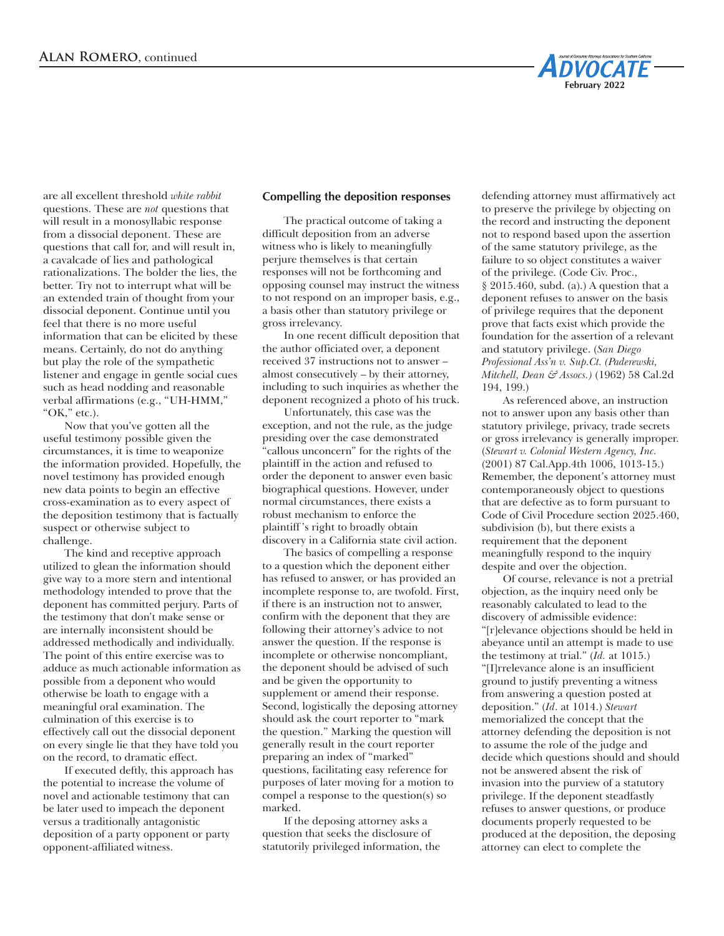

are all excellent threshold *white rabbit* questions. These are *not* questions that will result in a monosyllabic response from a dissocial deponent. These are questions that call for, and will result in, a cavalcade of lies and pathological rationalizations. The bolder the lies, the better. Try not to interrupt what will be an extended train of thought from your dissocial deponent. Continue until you feel that there is no more useful information that can be elicited by these means. Certainly, do not do anything but play the role of the sympathetic listener and engage in gentle social cues such as head nodding and reasonable verbal affirmations (e.g., "UH-HMM," "OK," etc.).

Now that you've gotten all the useful testimony possible given the circumstances, it is time to weaponize the information provided. Hopefully, the novel testimony has provided enough new data points to begin an effective cross-examination as to every aspect of the deposition testimony that is factually suspect or otherwise subject to challenge.

The kind and receptive approach utilized to glean the information should give way to a more stern and intentional methodology intended to prove that the deponent has committed perjury. Parts of the testimony that don't make sense or are internally inconsistent should be addressed methodically and individually. The point of this entire exercise was to adduce as much actionable information as possible from a deponent who would otherwise be loath to engage with a meaningful oral examination. The culmination of this exercise is to effectively call out the dissocial deponent on every single lie that they have told you on the record, to dramatic effect.

If executed deftly, this approach has the potential to increase the volume of novel and actionable testimony that can be later used to impeach the deponent versus a traditionally antagonistic deposition of a party opponent or party opponent-affiliated witness.

#### **Compelling the deposition responses**

The practical outcome of taking a difficult deposition from an adverse witness who is likely to meaningfully perjure themselves is that certain responses will not be forthcoming and opposing counsel may instruct the witness to not respond on an improper basis, e.g., a basis other than statutory privilege or gross irrelevancy.

In one recent difficult deposition that the author officiated over, a deponent received 37 instructions not to answer – almost consecutively – by their attorney, including to such inquiries as whether the deponent recognized a photo of his truck.

Unfortunately, this case was the exception, and not the rule, as the judge presiding over the case demonstrated "callous unconcern" for the rights of the plaintiff in the action and refused to order the deponent to answer even basic biographical questions. However, under normal circumstances, there exists a robust mechanism to enforce the plaintiff 's right to broadly obtain discovery in a California state civil action.

The basics of compelling a response to a question which the deponent either has refused to answer, or has provided an incomplete response to, are twofold. First, if there is an instruction not to answer, confirm with the deponent that they are following their attorney's advice to not answer the question. If the response is incomplete or otherwise noncompliant, the deponent should be advised of such and be given the opportunity to supplement or amend their response. Second, logistically the deposing attorney should ask the court reporter to "mark the question." Marking the question will generally result in the court reporter preparing an index of "marked" questions, facilitating easy reference for purposes of later moving for a motion to compel a response to the question(s) so marked.

If the deposing attorney asks a question that seeks the disclosure of statutorily privileged information, the

defending attorney must affirmatively act to preserve the privilege by objecting on the record and instructing the deponent not to respond based upon the assertion of the same statutory privilege, as the failure to so object constitutes a waiver of the privilege. (Code Civ. Proc., § 2015.460, subd. (a).) A question that a deponent refuses to answer on the basis of privilege requires that the deponent prove that facts exist which provide the foundation for the assertion of a relevant and statutory privilege. (*San Diego Professional Ass'n v. Sup.Ct. (Paderewski, Mitchell, Dean & Assocs.)* (1962) 58 Cal.2d 194, 199.)

As referenced above, an instruction not to answer upon any basis other than statutory privilege, privacy, trade secrets or gross irrelevancy is generally improper. (*Stewart v. Colonial Western Agency, Inc.*  (2001) 87 Cal.App.4th 1006, 1013-15.) Remember, the deponent's attorney must contemporaneously object to questions that are defective as to form pursuant to Code of Civil Procedure section 2025.460, subdivision (b), but there exists a requirement that the deponent meaningfully respond to the inquiry despite and over the objection.

Of course, relevance is not a pretrial objection, as the inquiry need only be reasonably calculated to lead to the discovery of admissible evidence: "[r]elevance objections should be held in abeyance until an attempt is made to use the testimony at trial." (*Id.* at 1015.) "[I]rrelevance alone is an insufficient ground to justify preventing a witness from answering a question posted at deposition." (*Id*. at 1014.) *Stewart* memorialized the concept that the attorney defending the deposition is not to assume the role of the judge and decide which questions should and should not be answered absent the risk of invasion into the purview of a statutory privilege. If the deponent steadfastly refuses to answer questions, or produce documents properly requested to be produced at the deposition, the deposing attorney can elect to complete the